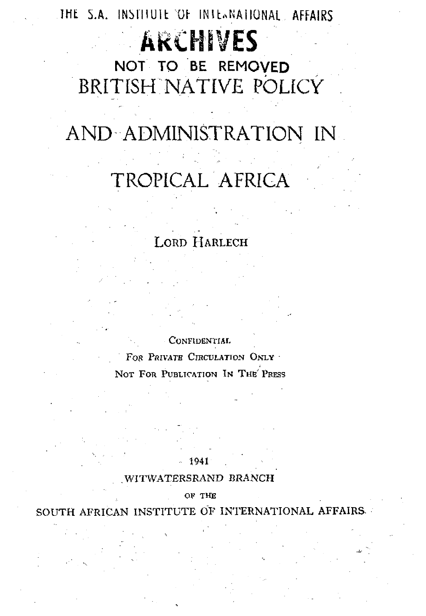THE S.A. INSTITUTE OF INTERNATIONAL AFFAIRS

# **ARCHIVES**

NOT TO BE REMOVED BRITISH NATIVE POLICY

BRITISH NATIVE POLICY

## AND ADMINISTRATION IN AND ADMINISTRATION IN

## TROPICAL AFRICA TROPICAL AFRICAL AFRICAL AFRICAL AFRICAL AFRICAL AFRICAL AFRICAL AFRICAL AFRICAL AFRICAL AFRICAL AFRICAL AFRIC<br>The control of the control of the control of the control of the control of the control of the control of the c

### LORD HARLECH

CONFIDENTIAL

FOR PRIVATE CIRCULATION ONLY NOT FOR PUBLICATION IN THE' PRESS

#### 1941 .

#### .WITWATERSRAND BRANCH

OF THE

SOUTH AFRICAN INSTITUTE OF INTERNATIONAL AFFAIRS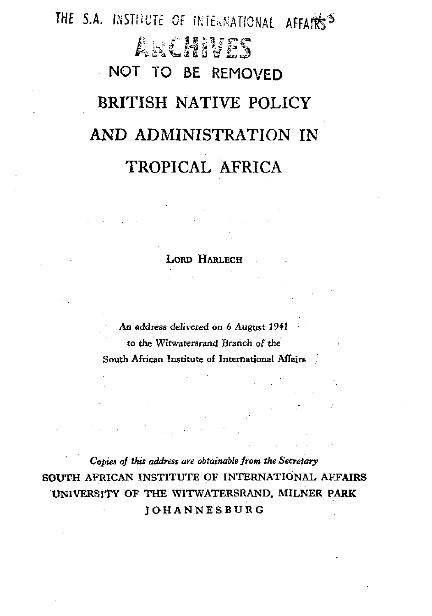# THE S.A. INSTITUTE OF INTERNATIONAL AFFAIRS<sup>2</sup> a\ 'L\* fig S V**V £** £ **3** NOT TO BE REMOVED BRITISH NATIVE POLICY AND ADMINISTRATION IN TROPICAL AFRICA

LORD HARLECH

An address delivered on 6 August 1941 to the Witwaterarand Branch of the South African Institute of International Affaire

*Copies of this address are obtainable from the Secretary* SOUTH AFRICAN INSTITUTE OF INTERNATIONAL AFFAIRS UNIVERSITY OF THE WITWATERSRAND, MILNER PARK **JOHANNESBURG**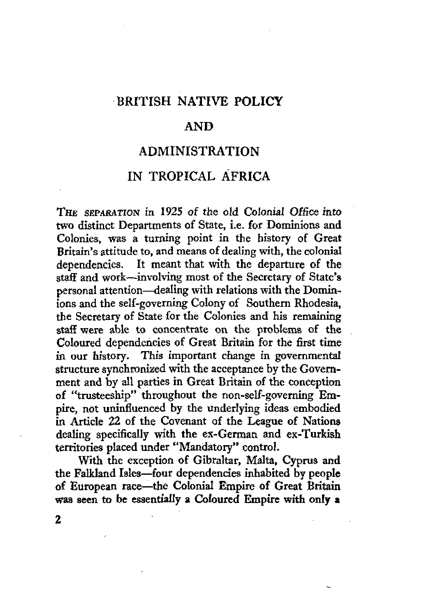### BRITISH NATIVE POLICY

### AND

### ADMINISTRATION

### IN TROPICAL AFRICA

THE SEPARATION in 1925 of the old Colonial Office into two distinct Departments of State, i.e. for Dominions and Colonies, was a turning point in the history of Great Britain's attitude to, and means of dealing with, the colonial dependencies. It meant that with the departure of the staff and work—involving most of the Secretary of State's personal attention—dealing with relations with the Dominions and the self-governing Colony of Southern Rhodesia, the Secretary of State for the Colonies and his remaining staff were able to concentrate on the problems of the Coloured dependencies of Great Britain for the first time in our history. This important change in governmental structure synchronized with the acceptance by the Government and by all parties in Great Britain of the conception of "trusteeship" throughout the non-self-governing Empire, not uninfluenced by the underlying ideas embodied in Article 22 of the Covenant of the League of Nations dealing specifically with the ex-German and ex-Turkish territories placed under "Mandatory" control.

With the exception of Gibraltar, Malta, Cyprus and the Falkland Isles—four dependencies inhabited by people of European race—the Colonial Empire of Great Britain was seen to be essentially a Coloured Empire with only a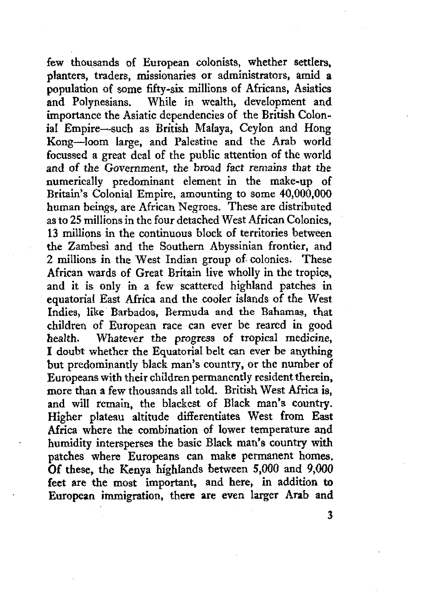few thousands of European colonists, whether settlers, planters, traders, missionaries or administrators, amid a population of some fifty-six millions of Africans, Asiatics and Polynesians. While in wealth, development and importance the Asiatic dependencies of the British Colonial Empire—such as British Malaya, Ceylon and Hong Kong—loom large, and Palestine and the Arab world focussed a great deal of the public attention of the world and of the Government, the broad fact remains that the numerically predominant element in the make-up of Britain's Colonial Empire, amounting to some 40,000,000 human beings, are African Negroes. These are distributed as to 25 millions in the four detached West African Colonies, 13 millions in the continuous block of territories between the Zambesi and the Southern Abyssinian frontier, and 2 millions in the West Indian group of colonies. These African wards of Great Britain live wholly in the tropics, and it is only in a few scattered highland patches in equatorial East Africa and the cooler islands of the West Indies, like Barbados, Bermuda and the Bahamas, that children of European race can ever be reared in good health. Whatever the progress of tropical medicine, I doubt whether the Equatorial belt can ever be anything but predominantly black man's country, or the number of Europeans with their children permanently resident therein, more than a few thousands all told. British West Africa is, and will remain, the blackest of Black man's country. Higher plateau altitude differentiates West from East Higher plateau altitude differentiates west from East Airica where the combination of lower temperature and humidity intersperses the basic Black man's country with patches where Europeans can make permanent homes. Of these, the Kenya highlands between 5,000 and 9,000 feet are the most important, and here, in addition to European immigration, there are even larger Arab and

 $\overline{\mathbf{3}}$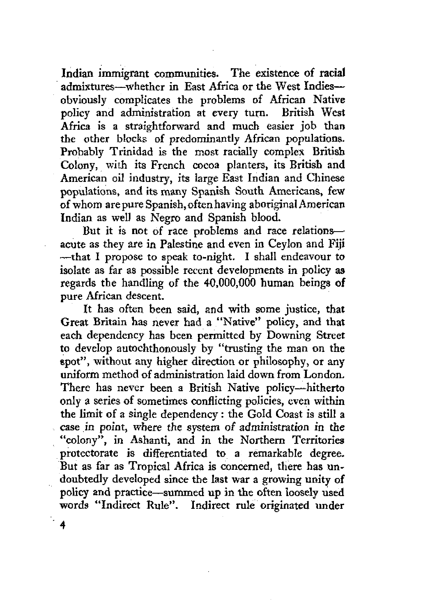Indian immigrant communities. The existence of racial admixtures—whether in East Africa or the West Indies obviously complicates the problems of African Native policy and administration at every turn. British West Africa is a straightforward and much easier job than the other blocks of predominantly African populations. Probably Trinidad is the most racially complex British Colony, with its French cocoa planters, its British and American oil industry, its large East Indian and Chinese populations, and its many Spanish South Americans, few of whom are pure Spanish, often having aboriginal American Indian as well as Negro and Spanish blood.

But it is not of race problems and race relations acute as they are in Palestine and even in Ceylon and Fiji —that I propose to speak to-night. I shall endeavour to isolate as far as possible recent developments in policy as regards the handling of the 40,000,000 human beings of pure African descent.

It has often been said, and with some justice, that Great Britain has never had a "Native" policy, and that each dependency has been permitted by Downing Street to develop autochthonously by "trusting the man on the spot", without any higher direction or philosophy, or any uniform method of administration laid down from London. There has never been a British Native policy—hitherto only a series of sometimes conflicting policies, even within the limit of a single dependency : the Gold Coast is still a case in point, where the system of administration in the "colony", in Ashanti, and in the Northern Territories protectorate is differentiated to a remarkable degree. But as far as Tropical Africa is concerned, there has undoubtedly developed since the last war a growing unity of policy and practice—summed up in the often loosely used words "Indirect Rule". Indirect rule originated under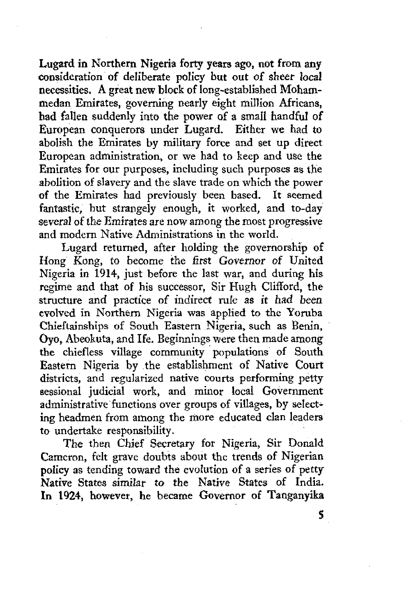Lugard in Northern Nigeria forty years ago, not from any consideration of deliberate policy but out of sheer local necessities. A great new block of long-established Mohammedan Emirates, governing nearly eight million Africans, had fallen suddenly into the power of a small handful of European conquerors under Lugard. Either we had to abolish the Emirates by military force and set up direct European administration, or we had to keep and use the Emirates for our purposes, including such purposes as the abolition of slavery and the slave trade on which the power of the Emirates had previously been based. It seemed fantastic, but strangely enough, it worked, and to-day several of the Emirates are now among the most progressive and modern Native Administrations in the world.

Lugard returned, after holding the governorship of Hong Kong, to become the first Governor of United Nigeria in 1914, just before the last war, and during his regime and that of his successor, Sir Hugh Clifford, the structure and practice of indirect rule as it had been evolved in Northern Nigeria was applied to the Yoruba Chieftainships of South Eastern Nigeria, such as Benin, Oyo, Abeokuta, and Ife. Beginnings were then made among the chiefless village community populations of South Eastern Nigeria by the establishment of Native Court districts, and regularized native courts performing petty sessional judicial work, and minor local Government administrative functions over groups of villages, by selecting headmen from among the more educated clan leaders to undertake responsibility.

The then Chief Secretary for Nigeria, Sir Donald Cameron, felt grave doubts about the trends of Nigerian policy as tending toward the evolution of a series of petty Native States similar to the Native States of India. In 1924, however, he became Governor of Tanganyika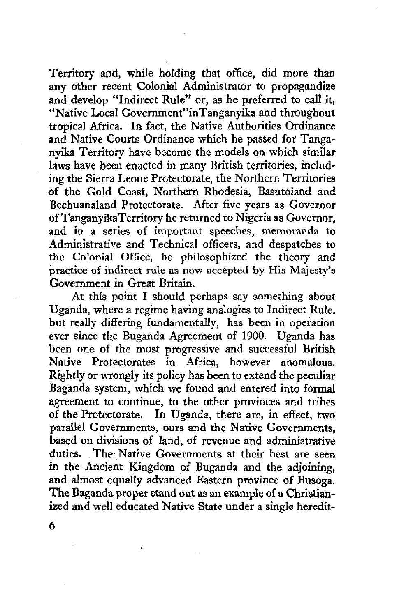Territory and, while holding that office, did more than any other recent Colonial Administrator to propagandize and develop "Indirect Rule" or, as he preferred to call it, "Native Local Government"inTanganyika and throughout tropical Africa. In fact, the Native Authorities Ordinance and Native Courts Ordinance which he passed for Tanganyika Territory have become the models on which similar laws have been enacted in many British territories, including the Sierra Leone Protectorate, the Northern Territories of the Gold Coast, Northern Rhodesia, Basutoland and Bechuanaland Protectorate. After five years as Governor of TanganyikaTerritory he returned to Nigeria as Governor, and in a series of important speeches, memoranda to Administrative and Technical officers, and despatches to the Colonial Office, he philosophized the theory and practice of indirect rule as now accepted by His Majesty's Government in Great Britain.

At this point I should perhaps say something about Uganda, where a regime having analogies to Indirect Rule, but really differing fundamentally, has been in operation ever since the Buganda Agreement of 1900. Uganda has been one of the most progressive and successful British Native Protectorates in Africa, however anomalous. Rightly or wrongly its policy has been to extend the peculiar Baganda system, which we found and entered into formal agreement to continue, to the other provinces and tribes of the Protectorate. In Uganda, there are, in effect, two parallel Governments, ours and the Native Governments, based on divisions of land, of revenue and administrative duties. The Native Governments at their best are seen in the Ancient Kingdom of Buganda and the adjoining, and almost equally advanced Eastern province of Busoga. The Baganda proper stand out as an example of a Christianized and well educated Native State under a single heredit-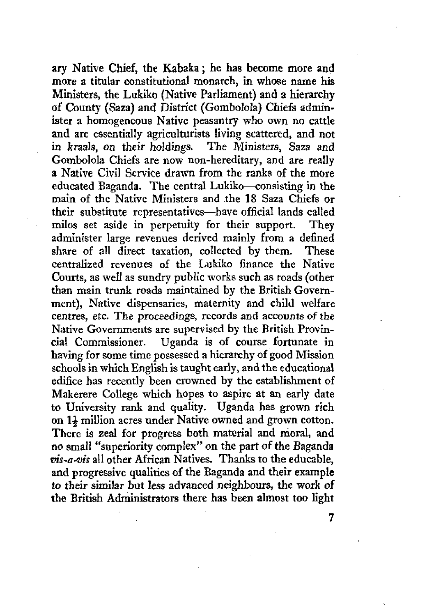ary Native Chief, the Kabaka; he has become more and more a titular constitutional monarch, in whose name his Ministers, the Lukiko (Native Parliament) and a hierarchy of County (Saza) and District (Gombolola) Chiefs administer a homogeneous Native peasantry who own no cattle and are essentially agriculturists living scattered, and not in kraals, on their holdings. The Ministers, Saza and Gombolola Chiefs are now non-hereditary, and are really a Native Civil Service drawn from the ranks of the more educated Baganda. The central Lukiko—consisting in the main of the Native Ministers and the 18 Saza Chiefs or their substitute representatives—have official lands called milos set aside in perpetuity for their support. They administer large revenues derived mainly from a defined share of all direct taxation, collected by them. These centralized revenues of the Lukiko finance the Native Courts, as well as sundry public works such as roads (other than main trunk roads maintained by the British Government), Native dispensaries, maternity and child welfare centres, etc. The proceedings, records and accounts of the Native Governments are supervised by the British Provincial Commissioner. Uganda is of course fortunate in cial Commissioner. Uganda is of course fortunate in having for some time possessed a hierarchy of good Mission schools in which English is taught early, and the educational schools in which english is taught early, and the equivalential  $\mathcal{L}^{\text{rel}}$ edifice has recently been crowned by the establishment of Makerere College which hopes to aspire at an early date to University rank and quality. Uganda has grown rich on  $1\frac{1}{2}$  million acres under Native owned and grown cotton. There is zeal for progress both material and moral, and no small "superiority complex" on the part of the Baganda  $vis-a-vis$  all other African Natives. Thanks to the educable. and progressive qualities of the Baganda and their example to their similar but less advanced neighbours, the work of the British Administrators there has been almost too light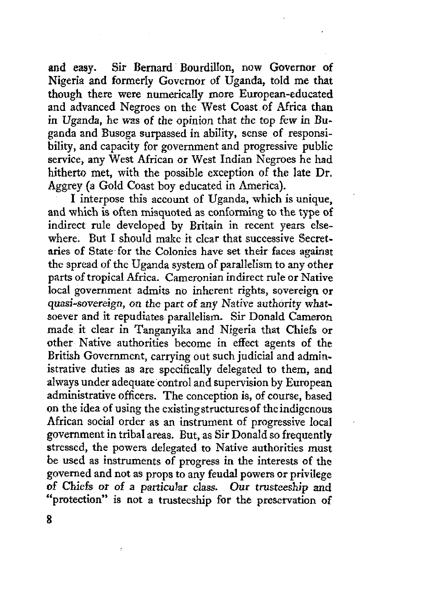and easy. Sir Bernard Bourdillon, now Governor of Nigeria and formerly Governor of Uganda, told me that though there were numerically more European-educated and advanced Negroes on the West Coast of Africa than in Uganda, he was of the opinion that the top few in Buganda and Busoga surpassed in ability, sense of responsibility, and capacity for government and progressive public service, any West African or West Indian Negroes he had hitherto met, with the possible exception of the late Dr. Aggrey (a Gold Coast boy educated in America).

I interpose this account of Uganda, which is unique, and which is often misquoted as conforming to the type of indirect rule developed by Britain in recent years elsewhere. But I should make it clear that successive Secretaries of State for the Colonies have set their faces against the spread of the Uganda system of parallelism to any other parts of tropical Africa. Cameronian indirect rule or Native local government admits no inherent rights, sovereign or quasi-sovereign, *on* the part of any Native authority whatsoever and it repudiates parallelism. Sir Donald Cameron made it clear in Tanganyika and Nigeria that Chiefs or other Native authorities become in effect agents of the British Government, carrying out such judicial and administrative duties as are specifically delegated to them, and always under adequate control and supervision by European administrative officers. The conception is, of course, based on the idea of using the existing structures of the indigenous African social order as an instrument of progressive local government in tribal areas. But, as Sir Donald so frequently stressed, the powers delegated to Native authorities must be used as instruments of progress in the interests of the governed and not as props to any feudal powers or privilege of Chiefs or of a particular class. Our trusteeship and "protection" is not a trusteeship for the preservation of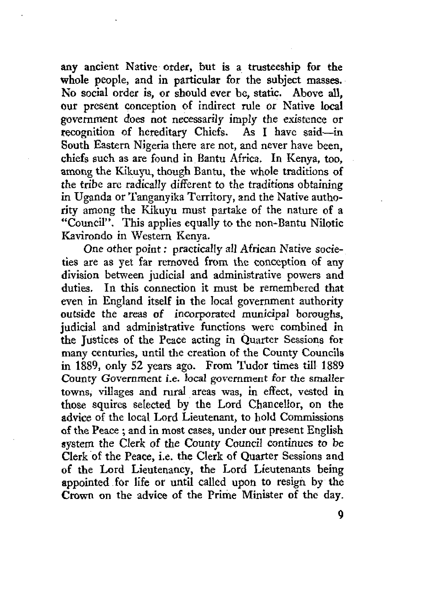any ancient Native order, but is a trusteeship for the whole people, and in particular for the subject masses. No social order is, or should ever be, static. Above all, our present conception of indirect rule or Native local government does not necessarily imply the existence or recognition of hereditary Chiefs. As I have said—in South Eastern Nigeria there are not, and never have been, chiefs such as are found in Bantu Africa. In Kenya, too, among the Kikuyu, though Bantu, the whole traditions of the tribe are radically different to the traditions obtaining in Uganda or Tanganyika Territory, and the Native authority among the Kikuyu must partake of the nature of a "Council". This applies equally to the non-Bantu Nilotic Kavirondo in Western Kenya.

One other point: practically all African Native societies are as yet far removed from the conception of any division between judicial and administrative powers and duties. In this connection it must be remembered that even in England itself in the local government authority outside the areas of incorporated municipal boroughs, judicial and administrative functions were combined in the Justices of the Peace acting in Quarter Sessions for many centuries, until the creation of the County Councils in 1889, only 52 years ago. From Tudor times till 1889 County Government i.e. local government for the smaller towns, villages and rural areas was, in effect, vested in those squires selected by the Lord Chancellor, on the advice of the local Lord Lieutenant, to hold Commissions of the Peace ; and in most cases, under our present English system the Clerk of the County Council continues to be Clerk of the Peace, i.e. the Clerk of Quarter Sessions and of the Lord Lieutenancy, the Lord Lieutenants being appointed for life or until called upon to resign by the Crown on the advice of the Prime Minister of the day.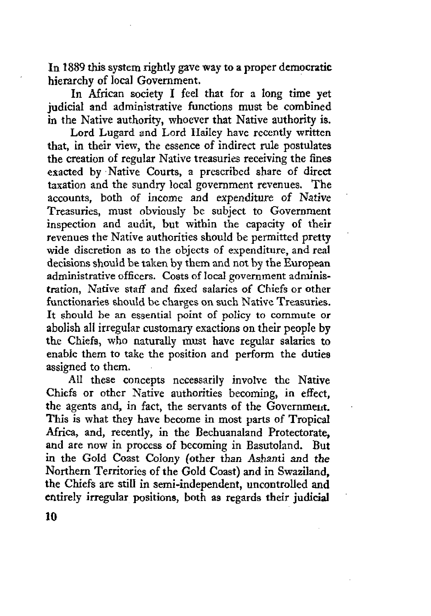In 1889 this system rightly gave way to a proper democratic hierarchy of local Government.

In African society I feel that for a long time yet judicial and administrative functions must be combined in the Native authority, whoever that Native authority is.

Lord Lugard and Lord Hailey have recently written that, in their view, the essence of indirect rule postulates the creation of regular Native treasuries receiving the fines exacted by Native Courts, a prescribed share of direct taxation and the sundry local government revenues. The accounts, both of income and expenditure of Native Treasuries, must obviously be subject to Government inspection and audit, but within the capacity of their revenues the Native authorities should be permitted pretty wide discretion as to the objects of expenditure, and real decisions should be taken by them and not by the European administrative officers. Costs of local government administration, Native staff and fixed salaries of Chiefs or other functionaries should be charges on such Native Treasuries. It should be an essential point of policy to commute or abolish all irregular customary exactions on their people by the Chiefs, who naturally must have regular salaries to enable them to take the position and perform the duties assigned to them.

All these concepts necessarily involve the Native Chiefs or other Native authorities becoming, in effect, the agents and, in fact, the servants of the Government. This is what they have become in most parts of Tropical Africa, and, recently, in the Bechuanaland Protectorate, and are now in process of becoming in Basutoland. But in the Gold Coast Colony (other than Ashanti and the Northern Territories of the Gold Coast) and in Swaziland, the Chiefs are still in semi-independent, uncontrolled and entirely irregular positions, both as regards their judicial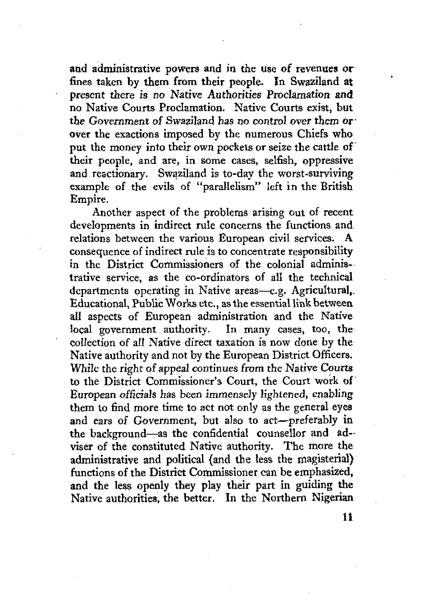and administrative powers and in the use of revenues or fines taken by them from their people. In Swaziland at present there is no Native Authorities Proclamation and no Native Courts Proclamation. Native Courts exist, but the Government of Swaziland has no control over them or' over the exactions imposed by the numerous Chiefs who put the money into their own pockets or seize the cattle of their people, and are, in some cases, selfish, oppressive and reactionary. Swaziland is to-day the worst-surviving example of the evils of "parallelism" left in the British Empire.

Another aspect of the problems arising out of recent developments in indirect rule concerns the functions and relations between the various European civil services. A consequence of indirect rule is to concentrate responsibility in the District Commissioners of the colonial administrative service, as the co-ordinators of all the technical departments operating in Native areas—e.g. Agricultural,, Educational, Public Works etc., as the essential link between, all aspects of European administration and the Native local government authority. In many cases, too, the collection of all Native direct taxation is now done by the Native authority and not by the European District Officers. While the right of appeal continues from the Native Courts to the District Commissioner's Court, the Court work of European officials has been immensely lightened, enabling them to find more time to act not only as the general eyes and ears of Government, but also to act—preferably in the background—as the confidential counsellor and adviser of the constituted Native authority. The more the administrative and political (and the less the magisterial) functions of the District Commissioner can be emphasized, and the less openly they play their part in guiding the Native authorities, the better. In the Northern Nigerian

H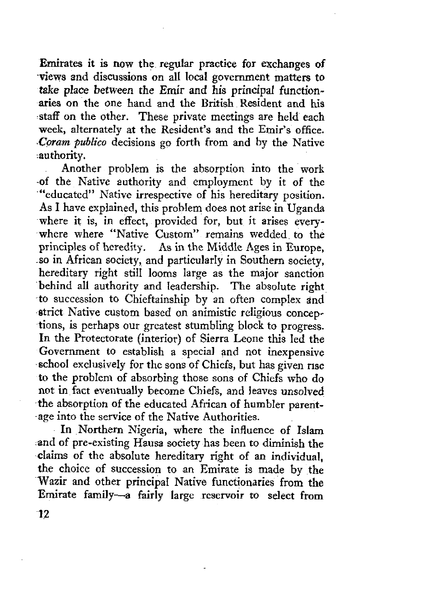Emirates it is now the regular practice for exchanges of views and discussions on all local government matters to take place between the Emir and his principal functionaries on the one hand and the British Resident and his staff on the other. These private meetings are held each week, alternately at the Resident's and the Emir's office. *•Coram pvblico* decisions go forth from and by the Native authority.

Another problem is the absorption into the work -of the Native authority and employment by it of the "educated" Native irrespective of his hereditary position. As I have explained, this problem does not arise in Uganda where it is, in effect, provided for, but it arises everywhere where "Native Custom" remains wedded to the principles of heredity. As in the Middle Ages in Europe, so in African society, and particularly in Southern society, hereditary right still looms large as the major sanction behind all authority and leadership. The absolute right to succession to Chieftainship by an often complex and strict Native custom based on animistic religious conceptions, is perhaps our greatest stumbling block to progress. In the Protectorate (interior) of Sierra Leone this led the Government to establish a special and not inexpensive school exclusively for the sons of Chiefs, but has given rise to the problem of absorbing those sons of Chiefs who do not in fact eventually become Chiefs, and leaves unsolved the absorption of the educated African of humbler parentage into the service of the Native Authorities.

In Northern Nigeria, where the influence of Islam and of pre-existing Hausa society has been to diminish the claims of the absolute hereditary right of an individual, the choice of succession to an Emirate is made by the Wazir and other principal Native functionaries from the Emirate family—a fairly large reservoir to select from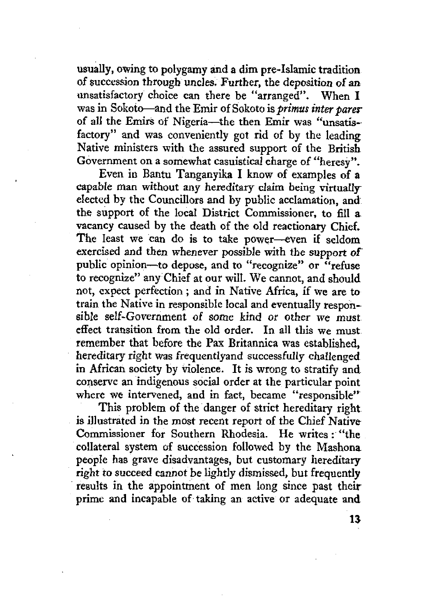usually, owing to polygamy and a dim pre-Islamic tradition of succession through uncles. Further, the deposition of an unsatisfactory choice can there be "arranged". When I was in Sokoto—and the Emir of Sokoto is *primus inter pares*of all the Emirs of Nigeria—the then Emir was "unsatisfactory" and was conveniently got rid of by the leading Native ministers with the assured support of the British Government on a somewhat casuistical charge of "heresy".

Even in Bantu Tanganyika I know of examples of a capable man without any hereditary claim being virtually elected by the Councillors and by public acclamation, and the support of the local District Commissioner, to fill a vacancy caused by the death of the old reactionary Chief. The least we can do is to take power—even if seldom exercised and then whenever possible with the support of public opinion—to depose, and to "recognize" or "refuse to recognize" any Chief at our will. We cannot, and should not, expect perfection ; and in Native Africa, if we are to train the Native in responsible local and eventually responsible self-Government *of* some kind or other we must effect transition from the old order. In all this we must remember that before the Pax Britannica was established, hereditary right was frequentlyand successfully challenged in African society by violence. It is wrong to stratify and conserve an indigenous social order at the particular point where we intervened, and in fact, became "responsible"

This problem of the danger of strict hereditary right is illustrated in the most recent report of the Chief Native Commissioner for Southern Rhodesia. He writes: "the collateral system of succession followed by the Mashona people has grave disadvantages, but customary hereditary right *to* succeed cannot be lightly dismissed, but frequently results in the appointment of men long since past their prime and incapable of taking an active or adequate and

*n*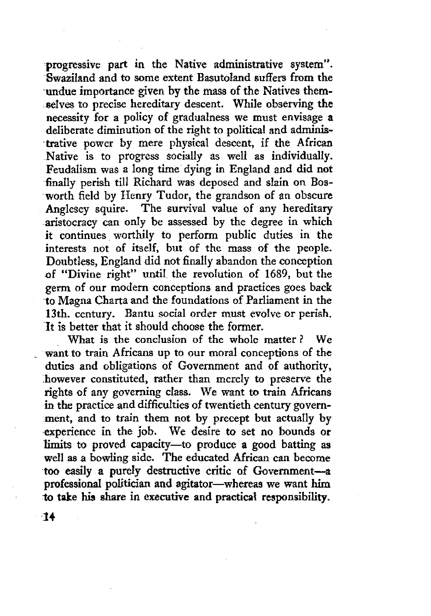progressive part in the Native administrative system". Swaziland and to some extent Basutoland suffers from the undue importance given by the mass of the Natives themselves to precise hereditary descent. While observing the necessity for a policy of gradualness we must envisage a deliberate diminution of the right to political and administrative power by mere physical descent, if the African Native is to progress socially as well as individually. Feudalism was a long time dying in England and did not finally perish till Richard was deposed and slain on Bosworth field by Henry Tudor, the grandson of an obscure Anglesey squire. The survival value of any hereditary aristocracy can only be assessed by the degree in which it continues worthily to perform public duties in the interests not of itself, but of the mass of the people. Doubtless, England did not finally abandon the conception *of* "Divine right" until the revolution of 1689, but the germ of our modern conceptions and practices goes back to Magna Charta and the foundations of Parliament in the 13th. century. Bantu social order must evolve or perish. It is better that it should choose the former.

What is the conclusion of the whole matter ? We want to train Africans up to our moral conceptions of the duties and obligations of Government and of authority, however constituted, rather than merely to preserve the rights of any governing class. We want to train Africans in the practice and difficulties of twentieth century government, and to train them not by precept but actually by experience in the job. We desire to set no bounds or limits to proved capacity—to produce a good batting as well as a bowling side. The educated African can become too easily a purely destructive critic of Government—a professional politician and agitator—whereas we want him to take his share in executive and practical responsibility.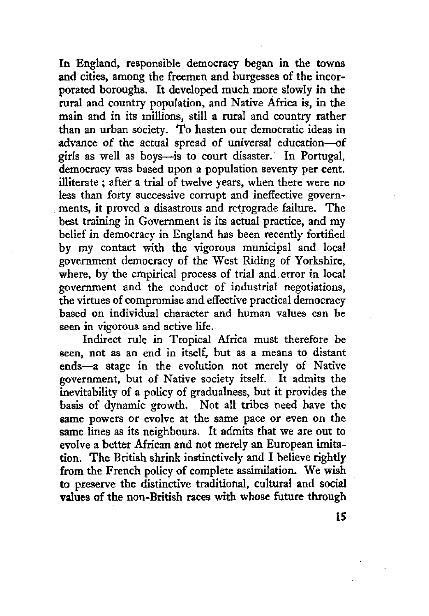In England, responsible democracy began in the towns and cities, among the freemen and burgesses of the incorporated boroughs. It developed much more slowly in the rural and country population, and Native Africa is, in the main and in its millions, still a rural and country rather than an urban society. To hasten our democratic ideas in advance of the actual spread of universal education—of girls as well as boys—is to court disaster. In Portugal, democracy was based upon a population seventy per cent, illiterate ; after a trial of twelve years, when there were no less than forty successive corrupt and ineffective governments, it proved a disastrous and retrograde failure. The best training in Government is its actual practice, and my belief in democracy in England has been recently fortified by my contact with the vigorous municipal and local government democracy of the West Riding of Yorkshire, where, by the empirical process of trial and error in local government and the conduct of industrial negotiations, the virtues of compromise and effective practical democracy based on individual character and human values can be seen in vigorous and active life.

Indirect rule in Tropical Africa must therefore be seen, not as an end in itself, but as a means to distant ends—a stage in the evolution not merely of Native government, but of Native society itself. It admits the inevitability of a policy of gradualness, but it provides the basis of dynamic growth. Not all tribes need have the same powers or evolve at the same pace or even on the same lines as its neighbours. It admits that we are out to evolve a better African and not merely an European imitation. The British shrink instinctively and I believe rightly from the French policy of complete assimilation. We wish to preserve the distinctive traditional, cultural and social values of the non-British races with whose future through